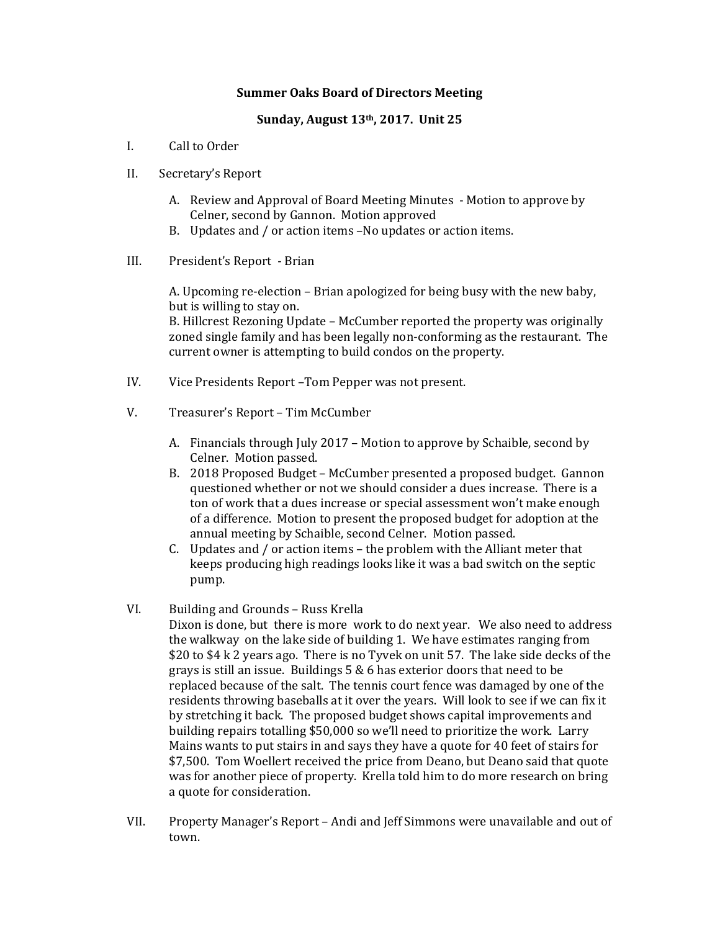## **Summer Oaks Board of Directors Meeting**

## **Sunday, August 13th, 2017. Unit 25**

- I. Call to Order
- II. Secretary's Report
	- A. Review and Approval of Board Meeting Minutes Motion to approve by Celner, second by Gannon. Motion approved
	- B. Updates and / or action items -No updates or action items.
- III. President's Report Brian

A. Upcoming re-election – Brian apologized for being busy with the new baby, but is willing to stay on.

B. Hillcrest Rezoning Update - McCumber reported the property was originally zoned single family and has been legally non-conforming as the restaurant. The current owner is attempting to build condos on the property.

- IV. Vice Presidents Report Tom Pepper was not present.
- V. Treasurer's Report Tim McCumber
	- A. Financials through July 2017 Motion to approve by Schaible, second by Celner. Motion passed.
	- B. 2018 Proposed Budget McCumber presented a proposed budget. Gannon questioned whether or not we should consider a dues increase. There is a ton of work that a dues increase or special assessment won't make enough of a difference. Motion to present the proposed budget for adoption at the annual meeting by Schaible, second Celner. Motion passed.
	- C. Updates and  $/$  or action items the problem with the Alliant meter that keeps producing high readings looks like it was a bad switch on the septic pump.
- VI. Building and Grounds Russ Krella
	- Dixon is done, but there is more work to do next year. We also need to address the walkway on the lake side of building 1. We have estimates ranging from  $$20$  to  $$4 \text{ k } 2$  years ago. There is no Tyvek on unit 57. The lake side decks of the grays is still an issue. Buildings  $5 & 6$  has exterior doors that need to be replaced because of the salt. The tennis court fence was damaged by one of the residents throwing baseballs at it over the years. Will look to see if we can fix it by stretching it back. The proposed budget shows capital improvements and building repairs totalling \$50,000 so we'll need to prioritize the work. Larry Mains wants to put stairs in and says they have a quote for 40 feet of stairs for \$7,500. Tom Woellert received the price from Deano, but Deano said that quote was for another piece of property. Krella told him to do more research on bring a quote for consideration.
- VII. Property Manager's Report Andi and Jeff Simmons were unavailable and out of town.